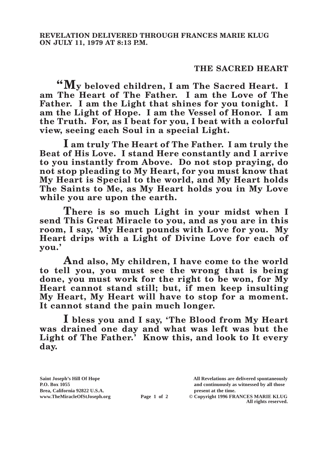## **THE SACRED HEART**

**"My beloved children, I am The Sacred Heart. I am The Heart of The Father. I am the Love of The Father. I am the Light that shines for you tonight. I am the Light of Hope. I am the Vessel of Honor. I am the Truth. For, as I beat for you, I beat with a colorful view, seeing each Soul in a special Light.**

**I am truly The Heart of The Father. I am truly the Beat of His Love. I stand Here constantly and I arrive to you instantly from Above. Do not stop praying, do not stop pleading to My Heart, for you must know that My Heart is Special to the world, and My Heart holds The Saints to Me, as My Heart holds you in My Love while you are upon the earth.**

**There is so much Light in your midst when I send This Great Miracle to you, and as you are in this room, I say, 'My Heart pounds with Love for you. My Heart drips with a Light of Divine Love for each of you.'**

**And also, My children, I have come to the world to tell you, you must see the wrong that is being done, you must work for the right to be won, for My Heart cannot stand still; but, if men keep insulting My Heart, My Heart will have to stop for a moment. It cannot stand the pain much longer.**

**I bless you and I say, 'The Blood from My Heart was drained one day and what was left was but the Light of The Father.' Know this, and look to It every day.**

**Brea, California 92822 U.S.A. present at the time.**<br> **present at the time.**<br> **present at the time.**<br> **Page 1 of 2** © Copyright 1996 FR.

**Saint Joseph's Hill Of Hope All Revelations are delivered spontaneously P.O. Box 1055 and continuously as witnessed by all those** 

**Page 1 of 2** © Copyright 1996 FRANCES MARIE KLUG **All rights reserved.**